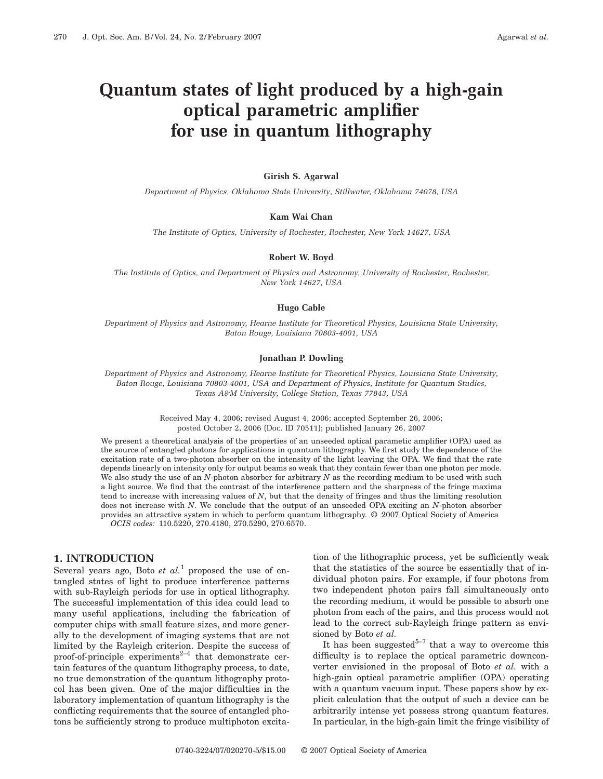# **Quantum states of light produced by a high-gain optical parametric amplifier for use in quantum lithography**

## **Girish S. Agarwal**

*Department of Physics, Oklahoma State University, Stillwater, Oklahoma 74078, USA*

## **Kam Wai Chan**

*The Institute of Optics, University of Rochester, Rochester, New York 14627, USA*

#### **Robert W. Boyd**

*The Institute of Optics, and Department of Physics and Astronomy, University of Rochester, Rochester, New York 14627, USA*

#### **Hugo Cable**

*Department of Physics and Astronomy, Hearne Institute for Theoretical Physics, Louisiana State University, Baton Rouge, Louisiana 70803-4001, USA*

#### **Jonathan P. Dowling**

*Department of Physics and Astronomy, Hearne Institute for Theoretical Physics, Louisiana State University, Baton Rouge, Louisiana 70803-4001, USA and Department of Physics, Institute for Quantum Studies, Texas A&M University, College Station, Texas 77843, USA*

> Received May 4, 2006; revised August 4, 2006; accepted September 26, 2006; posted October 2, 2006 (Doc. ID 70511); published January 26, 2007

We present a theoretical analysis of the properties of an unseeded optical parametic amplifier (OPA) used as the source of entangled photons for applications in quantum lithography. We first study the dependence of the excitation rate of a two-photon absorber on the intensity of the light leaving the OPA. We find that the rate depends linearly on intensity only for output beams so weak that they contain fewer than one photon per mode. We also study the use of an *N*-photon absorber for arbitrary *N* as the recording medium to be used with such a light source. We find that the contrast of the interference pattern and the sharpness of the fringe maxima tend to increase with increasing values of *N*, but that the density of fringes and thus the limiting resolution does not increase with *N*. We conclude that the output of an unseeded OPA exciting an *N*-photon absorber provides an attractive system in which to perform quantum lithography. © 2007 Optical Society of America *OCIS codes:* 110.5220, 270.4180, 270.5290, 270.6570.

# **1. INTRODUCTION**

Several years ago, Boto *et al.*<sup>1</sup> proposed the use of entangled states of light to produce interference patterns with sub-Rayleigh periods for use in optical lithography. The successful implementation of this idea could lead to many useful applications, including the fabrication of computer chips with small feature sizes, and more generally to the development of imaging systems that are not limited by the Rayleigh criterion. Despite the success of proof-of-principle experiments<sup>2–4</sup> that demonstrate certain features of the quantum lithography process, to date, no true demonstration of the quantum lithography protocol has been given. One of the major difficulties in the laboratory implementation of quantum lithography is the conflicting requirements that the source of entangled photons be sufficiently strong to produce multiphoton excitation of the lithographic process, yet be sufficiently weak that the statistics of the source be essentially that of individual photon pairs. For example, if four photons from two independent photon pairs fall simultaneously onto the recording medium, it would be possible to absorb one photon from each of the pairs, and this process would not lead to the correct sub-Rayleigh fringe pattern as envisioned by Boto *et al.*

It has been suggested<sup>5–7</sup> that a way to overcome this difficulty is to replace the optical parametric downconverter envisioned in the proposal of Boto *et al.* with a high-gain optical parametric amplifier (OPA) operating with a quantum vacuum input. These papers show by explicit calculation that the output of such a device can be arbitrarily intense yet possess strong quantum features. In particular, in the high-gain limit the fringe visibility of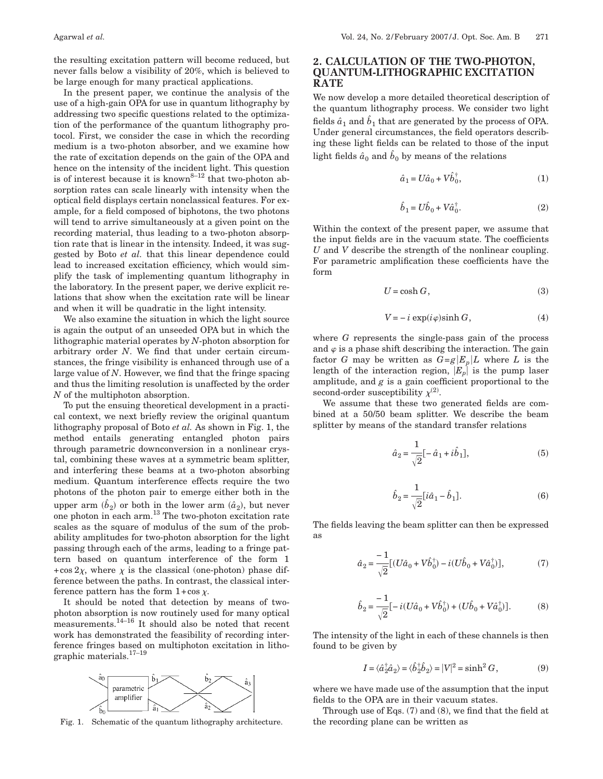the resulting excitation pattern will become reduced, but never falls below a visibility of 20%, which is believed to be large enough for many practical applications.

In the present paper, we continue the analysis of the use of a high-gain OPA for use in quantum lithography by addressing two specific questions related to the optimization of the performance of the quantum lithography protocol. First, we consider the case in which the recording medium is a two-photon absorber, and we examine how the rate of excitation depends on the gain of the OPA and hence on the intensity of the incident light. This question is of interest because it is known<sup>8-12</sup> that two-photon absorption rates can scale linearly with intensity when the optical field displays certain nonclassical features. For example, for a field composed of biphotons, the two photons will tend to arrive simultaneously at a given point on the recording material, thus leading to a two-photon absorption rate that is linear in the intensity. Indeed, it was suggested by Boto *et al.* that this linear dependence could lead to increased excitation efficiency, which would simplify the task of implementing quantum lithography in the laboratory. In the present paper, we derive explicit relations that show when the excitation rate will be linear and when it will be quadratic in the light intensity.

We also examine the situation in which the light source is again the output of an unseeded OPA but in which the lithographic material operates by *N*-photon absorption for arbitrary order *N*. We find that under certain circumstances, the fringe visibility is enhanced through use of a large value of *N*. However, we find that the fringe spacing and thus the limiting resolution is unaffected by the order *N* of the multiphoton absorption.

To put the ensuing theoretical development in a practical context, we next briefly review the original quantum lithography proposal of Boto *et al.* As shown in Fig. 1, the method entails generating entangled photon pairs through parametric downconversion in a nonlinear crystal, combining these waves at a symmetric beam splitter, and interfering these beams at a two-photon absorbing medium. Quantum interference effects require the two photons of the photon pair to emerge either both in the upper arm  $(\hat{b}_2)$  or both in the lower arm  $(\hat{a}_2)$ , but never one photon in each arm.13 The two-photon excitation rate scales as the square of modulus of the sum of the probability amplitudes for two-photon absorption for the light passing through each of the arms, leading to a fringe pattern based on quantum interference of the form 1 +cos  $2\chi$ , where  $\chi$  is the classical (one-photon) phase difference between the paths. In contrast, the classical interference pattern has the form  $1 + \cos \chi$ .

It should be noted that detection by means of twophoton absorption is now routinely used for many optical measurements.<sup>14–16</sup> It should also be noted that recent work has demonstrated the feasibility of recording interference fringes based on multiphoton excitation in lithographic materials.17–19



Fig. 1. Schematic of the quantum lithography architecture. the recording plane can be written as

# **2. CALCULATION OF THE TWO-PHOTON, QUANTUM-LITHOGRAPHIC EXCITATION RATE**

We now develop a more detailed theoretical description of the quantum lithography process. We consider two light fields  $\hat{a}_1$  and  $\hat{b}_1$  that are generated by the process of OPA. Under general circumstances, the field operators describing these light fields can be related to those of the input light fields  $\hat{a}_0$  and  $\hat{b}_0$  by means of the relations

$$
\hat{a}_1 = U \hat{a}_0 + V \hat{b}_0^{\dagger},\tag{1}
$$

$$
\hat{b}_1 = U\hat{b}_0 + V\hat{a}_0^{\dagger}.
$$
\n(2)

Within the context of the present paper, we assume that the input fields are in the vacuum state. The coefficients *U* and *V* describe the strength of the nonlinear coupling. For parametric amplification these coefficients have the form

$$
U = \cosh G,\tag{3}
$$

$$
V = -i \exp(i\varphi)\sinh G,\tag{4}
$$

where *G* represents the single-pass gain of the process and  $\varphi$  is a phase shift describing the interaction. The gain factor *G* may be written as  $G = g |E_p| L$  where *L* is the length of the interaction region,  $|E_n|$  is the pump laser amplitude, and *g* is a gain coefficient proportional to the second-order susceptibility  $\chi^{(2)}$ .

We assume that these two generated fields are combined at a 50/50 beam splitter. We describe the beam splitter by means of the standard transfer relations

$$
\hat{a}_2 = \frac{1}{\sqrt{2}} [-\hat{a}_1 + i\hat{b}_1],\tag{5}
$$

$$
\hat{b}_2 = \frac{1}{\sqrt{2}} [i\hat{a}_1 - \hat{b}_1].
$$
\n(6)

The fields leaving the beam splitter can then be expressed as

$$
\hat{a}_2 = \frac{-1}{\sqrt{2}} [(U\hat{a}_0 + V\hat{b}_0^{\dagger}) - i(U\hat{b}_0 + V\hat{a}_0^{\dagger})],
$$
\n(7)

$$
\hat{b}_2 = \frac{-1}{\sqrt{2}} [-i(U\hat{a}_0 + V\hat{b}_0^{\dagger}) + (U\hat{b}_0 + V\hat{a}_0^{\dagger})].
$$
 (8)

The intensity of the light in each of these channels is then found to be given by

$$
I = \langle \hat{a}_2^{\dagger} \hat{a}_2 \rangle = \langle \hat{b}_2^{\dagger} \hat{b}_2 \rangle = |V|^2 = \sinh^2 G,\tag{9}
$$

where we have made use of the assumption that the input fields to the OPA are in their vacuum states.

Through use of Eqs. (7) and (8), we find that the field at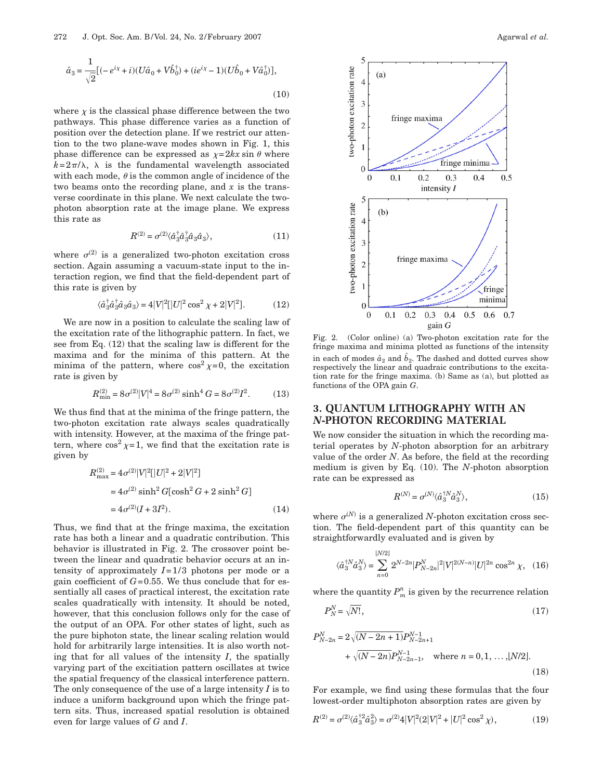$$
\hat{a}_3 = \frac{1}{\sqrt{2}} [(-e^{i\chi} + i)(U\hat{a}_0 + V\hat{b}_0^{\dagger}) + (ie^{i\chi} - 1)(U\hat{b}_0 + V\hat{a}_0^{\dagger})],
$$
\n(10)

where  $\chi$  is the classical phase difference between the two pathways. This phase difference varies as a function of position over the detection plane. If we restrict our attention to the two plane-wave modes shown in Fig. 1, this phase difference can be expressed as  $\chi = 2kx \sin \theta$  where  $k=2\pi/\lambda$ ,  $\lambda$  is the fundamental wavelength associated with each mode,  $\theta$  is the common angle of incidence of the two beams onto the recording plane, and *x* is the transverse coordinate in this plane. We next calculate the twophoton absorption rate at the image plane. We express this rate as

$$
R^{(2)} = \sigma^{(2)} \langle \hat{a}_3^\dagger \hat{a}_3^\dagger \hat{a}_3 \hat{a}_3 \rangle, \tag{11}
$$

where  $\sigma^{(2)}$  is a generalized two-photon excitation cross section. Again assuming a vacuum-state input to the interaction region, we find that the field-dependent part of this rate is given by

$$
\langle \hat{a}_3^{\dagger} \hat{a}_3^{\dagger} \hat{a}_3 \hat{a}_3 \rangle = 4|V|^2 [ |U|^2 \cos^2 \chi + 2|V|^2 ]. \tag{12}
$$

We are now in a position to calculate the scaling law of the excitation rate of the lithographic pattern. In fact, we see from Eq. (12) that the scaling law is different for the maxima and for the minima of this pattern. At the minima of the pattern, where  $\cos^2 \chi = 0$ , the excitation rate is given by

$$
R_{\min}^{(2)} = 8\sigma^{(2)}|V|^4 = 8\sigma^{(2)}\sinh^4 G = 8\sigma^{(2)}I^2. \tag{13}
$$

We thus find that at the minima of the fringe pattern, the two-photon excitation rate always scales quadratically with intensity. However, at the maxima of the fringe pattern, where  $\cos^2 \chi =1$ , we find that the excitation rate is given by

$$
R_{\text{max}}^{(2)} = 4\sigma^{(2)}|V|^2[|U|^2 + 2|V|^2]
$$
  
=  $4\sigma^{(2)}\sinh^2 G[\cosh^2 G + 2\sinh^2 G]$   
=  $4\sigma^{(2)}(I + 3I^2)$ . (14)

Thus, we find that at the fringe maxima, the excitation rate has both a linear and a quadratic contribution. This behavior is illustrated in Fig. 2. The crossover point between the linear and quadratic behavior occurs at an intensity of approximately *I*=1/3 photons per mode or a gain coefficient of  $G=0.55$ . We thus conclude that for essentially all cases of practical interest, the excitation rate scales quadratically with intensity. It should be noted, however, that this conclusion follows only for the case of the output of an OPA. For other states of light, such as the pure biphoton state, the linear scaling relation would hold for arbitrarily large intensities. It is also worth noting that for all values of the intensity *I*, the spatially varying part of the excitiation pattern oscillates at twice the spatial frequency of the classical interference pattern. The only consequence of the use of a large intensity *I* is to induce a uniform background upon which the fringe pattern sits. Thus, increased spatial resolution is obtained even for large values of *G* and *I*.



Fig. 2. (Color online) (a) Two-photon excitation rate for the fringe maxima and minima plotted as functions of the intensity in each of modes  $\hat{a}_2$  and  $\hat{b}_2$ . The dashed and dotted curves show respectively the linear and quadraic contributions to the excitation rate for the fringe maxima. (b) Same as (a), but plotted as functions of the OPA gain *G*.

# **3. QUANTUM LITHOGRAPHY WITH AN** *N***-PHOTON RECORDING MATERIAL**

We now consider the situation in which the recording material operates by *N*-photon absorption for an arbitrary value of the order *N*. As before, the field at the recording medium is given by Eq. (10). The *N*-photon absorption rate can be expressed as

$$
R^{(N)} = \sigma^{(N)} \langle \hat{a}_3^{\dagger N} \hat{a}_3^N \rangle, \tag{15}
$$

where  $\sigma^{(N)}$  is a generalized N-photon excitation cross section. The field-dependent part of this quantity can be straightforwardly evaluated and is given by

$$
\langle \hat{a}_3^{\dagger N} \hat{a}_3^N \rangle = \sum_{n=0}^{\lfloor N/2 \rfloor} 2^{N-2n} |P_{N-2n}^N|^2 |V|^{2(N-n)} |U|^{2n} \cos^{2n} \chi, \quad (16)
$$

where the quantity  $P_m^n$  is given by the recurrence relation

$$
P_N^N = \sqrt{N!},\tag{17}
$$

$$
P_{N-2n}^{N} = 2\sqrt{(N-2n+1)}P_{N-2n+1}^{N-1}
$$
  
+  $\sqrt{(N-2n)}P_{N-2n-1}^{N-1}$ , where  $n = 0, 1, ..., \lfloor N/2 \rfloor$ . (18)

For example, we find using these formulas that the four lowest-order multiphoton absorption rates are given by

$$
R^{(2)} = \sigma^{(2)} \langle \hat{a}_3^{\dagger 2} \hat{a}_3^2 \rangle = \sigma^{(2)} 4 |V|^2 (2 |V|^2 + |U|^2 \cos^2 \chi), \tag{19}
$$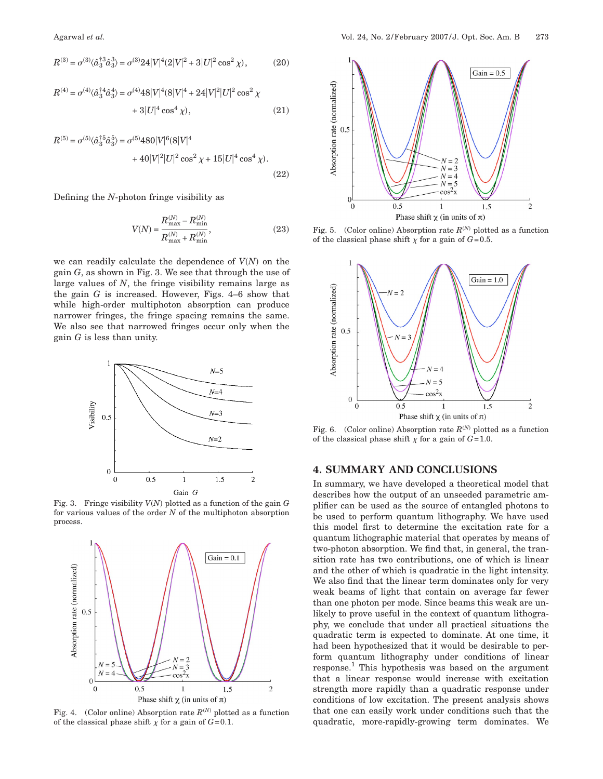$$
R^{(3)} = \sigma^{(3)} \langle \hat{a}_3^{\dagger 3} \hat{a}_3^3 \rangle = \sigma^{(3)} 24 |V|^4 (2 |V|^2 + 3 |U|^2 \cos^2 \chi), \tag{20}
$$

$$
R^{(4)} = \sigma^{(4)} \langle \hat{a}_3^{\dagger 4} \hat{a}_3^4 \rangle = \sigma^{(4)} 48 |V|^4 (8 |V|^4 + 24 |V|^2 |U|^2 \cos^2 \chi + 3 |U|^4 \cos^4 \chi), \tag{21}
$$

$$
R^{(5)} = \sigma^{(5)} \langle \hat{a}_3^{5} \hat{a}_3^{5} \rangle = \sigma^{(5)} 480 |V|^6 (8 |V|^4 + 40 |V|^2 |U|^2 \cos^2 \chi + 15 |U|^4 \cos^4 \chi).
$$
\n(22)

Defining the *N*-photon fringe visibility as

$$
V(N) = \frac{R_{\text{max}}^{(N)} - R_{\text{min}}^{(N)}}{R_{\text{max}}^{(N)} + R_{\text{min}}^{(N)}},
$$
\n(23)

we can readily calculate the dependence of  $V(N)$  on the gain *G*, as shown in Fig. 3. We see that through the use of large values of *N*, the fringe visibility remains large as the gain *G* is increased. However, Figs. 4–6 show that while high-order multiphoton absorption can produce narrower fringes, the fringe spacing remains the same. We also see that narrowed fringes occur only when the gain *G* is less than unity.



Fig. 3. Fringe visibility  $V(N)$  plotted as a function of the gain  $G$ for various values of the order *N* of the multiphoton absorption process.



Fig. 4. (Color online) Absorption rate  $R^{(N)}$  plotted as a function of the classical phase shift  $\chi$  for a gain of  $G=0.1$ .



Fig. 5. (Color online) Absorption rate  $R^{(N)}$  plotted as a function of the classical phase shift  $\chi$  for a gain of  $G=0.5$ .



Fig. 6. (Color online) Absorption rate  $R^{(N)}$  plotted as a function of the classical phase shift  $\chi$  for a gain of  $G=1.0$ .

## **4. SUMMARY AND CONCLUSIONS**

In summary, we have developed a theoretical model that describes how the output of an unseeded parametric amplifier can be used as the source of entangled photons to be used to perform quantum lithography. We have used this model first to determine the excitation rate for a quantum lithographic material that operates by means of two-photon absorption. We find that, in general, the transition rate has two contributions, one of which is linear and the other of which is quadratic in the light intensity. We also find that the linear term dominates only for very weak beams of light that contain on average far fewer than one photon per mode. Since beams this weak are unlikely to prove useful in the context of quantum lithography, we conclude that under all practical situations the quadratic term is expected to dominate. At one time, it had been hypothesized that it would be desirable to perform quantum lithography under conditions of linear response.<sup>1</sup> This hypothesis was based on the argument that a linear response would increase with excitation strength more rapidly than a quadratic response under conditions of low excitation. The present analysis shows that one can easily work under conditions such that the quadratic, more-rapidly-growing term dominates. We